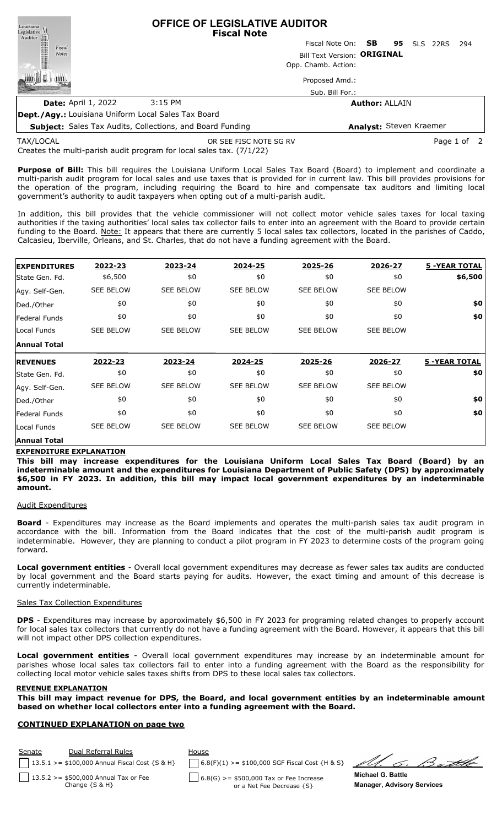Louisiana<br>Legislative **OFFICE OF LEGISLATIVE AUDITOR** Legislative<br>Auditor **Fiscal Note** Fiscal Note On: **SB 95** SLS 22RS 294 Fiscal Notes Bill Text Version: **ORIGINAL** Opp. Chamb. Action: 咖啡 日 I JIII. Proposed Amd.: Sub. Bill For.: **Date:** April 1, 2022 3:15 PM **Author:** ALLAIN

**Dept./Agy.:** Louisiana Uniform Local Sales Tax Board

**Subject:** Sales Tax Audits, Collections, and Board Funding **Analyst:** Steven Kraemer

TAX/LOCAL

OR SEE FISC NOTE SG RV **Page 1 of 2** 

Creates the multi-parish audit program for local sales tax. (7/1/22)

**Purpose of Bill:** This bill requires the Louisiana Uniform Local Sales Tax Board (Board) to implement and coordinate a multi-parish audit program for local sales and use taxes that is provided for in current law. This bill provides provisions for the operation of the program, including requiring the Board to hire and compensate tax auditors and limiting local government's authority to audit taxpayers when opting out of a multi-parish audit.

In addition, this bill provides that the vehicle commissioner will not collect motor vehicle sales taxes for local taxing authorities if the taxing authorities' local sales tax collector fails to enter into an agreement with the Board to provide certain funding to the Board. Note: It appears that there are currently 5 local sales tax collectors, located in the parishes of Caddo, Calcasieu, Iberville, Orleans, and St. Charles, that do not have a funding agreement with the Board.

| <b>EXPENDITURES</b>   | 2022-23          | 2023-24          | 2024-25          | 2025-26          | 2026-27          | <b>5 - YEAR TOTAL</b> |
|-----------------------|------------------|------------------|------------------|------------------|------------------|-----------------------|
| State Gen. Fd.        | \$6,500          | \$0              | \$0              | \$0              | \$0              | \$6,500               |
| Agy. Self-Gen.        | <b>SEE BELOW</b> | <b>SEE BELOW</b> | <b>SEE BELOW</b> | <b>SEE BELOW</b> | <b>SEE BELOW</b> |                       |
| Ded./Other            | \$0              | \$0              | \$0              | \$0              | \$0              | \$0                   |
| <b>Federal Funds</b>  | \$0              | \$0              | \$0              | \$0              | \$0              | \$0                   |
| Local Funds           | <b>SEE BELOW</b> | <b>SEE BELOW</b> | <b>SEE BELOW</b> | <b>SEE BELOW</b> | <b>SEE BELOW</b> |                       |
| <b>Annual Total</b>   |                  |                  |                  |                  |                  |                       |
|                       |                  |                  |                  |                  |                  |                       |
| <b>IREVENUES</b>      | 2022-23          | 2023-24          | 2024-25          | 2025-26          | 2026-27          | <b>5 - YEAR TOTAL</b> |
| <b>State Gen. Fd.</b> | \$0              | \$0              | \$0              | \$0              | \$0              | \$0                   |
| Agy. Self-Gen.        | <b>SEE BELOW</b> | <b>SEE BELOW</b> | <b>SEE BELOW</b> | <b>SEE BELOW</b> | <b>SEE BELOW</b> |                       |
| Ded./Other            | \$0              | \$0              | \$0              | \$0              | \$0              | \$0                   |
| <b>Federal Funds</b>  | \$0              | \$0              | \$0              | \$0              | \$0              | \$0                   |
| Local Funds           | <b>SEE BELOW</b> | <b>SEE BELOW</b> | <b>SEE BELOW</b> | <b>SEE BELOW</b> | <b>SEE BELOW</b> |                       |

# **Annual Total**

#### **EXPENDITURE EXPLANATION**

**This bill may increase expenditures for the Louisiana Uniform Local Sales Tax Board (Board) by an indeterminable amount and the expenditures for Louisiana Department of Public Safety (DPS) by approximately \$6,500 in FY 2023. In addition, this bill may impact local government expenditures by an indeterminable amount.**

## Audit Expenditures

**Board** - Expenditures may increase as the Board implements and operates the multi-parish sales tax audit program in accordance with the bill. Information from the Board indicates that the cost of the multi-parish audit program is indeterminable. However, they are planning to conduct a pilot program in FY 2023 to determine costs of the program going forward.

**Local government entities** - Overall local government expenditures may decrease as fewer sales tax audits are conducted by local government and the Board starts paying for audits. However, the exact timing and amount of this decrease is currently indeterminable.

#### Sales Tax Collection Expenditures

**DPS** - Expenditures may increase by approximately \$6,500 in FY 2023 for programing related changes to properly account for local sales tax collectors that currently do not have a funding agreement with the Board. However, it appears that this bill will not impact other DPS collection expenditures.

**Local government entities** - Overall local government expenditures may increase by an indeterminable amount for parishes whose local sales tax collectors fail to enter into a funding agreement with the Board as the responsibility for collecting local motor vehicle sales taxes shifts from DPS to these local sales tax collectors.

#### **REVENUE EXPLANATION**

This bill may impact revenue for DPS, the Board, and local government entities by an indeterminable amount **based on whether local collectors enter into a funding agreement with the Board.**

## **CONTINUED EXPLANATION on page two**

| Senate | Dual Referral Rules                                           | House                                                                |  |
|--------|---------------------------------------------------------------|----------------------------------------------------------------------|--|
|        | 13.5.1 > = \$100,000 Annual Fiscal Cost $\{S \& H\}$          | $6.8(F)(1)$ >= \$100,000 SGF Fiscal Cost {H & S}                     |  |
|        | 13.5.2 > = \$500,000 Annual Tax or Fee<br>Change $\{S \& H\}$ | 6.8(G) >= \$500,000 Tax or Fee Increase<br>or a Net Fee Decrease {S} |  |

G. Better

**Michael G. Battle Manager, Advisory Services**